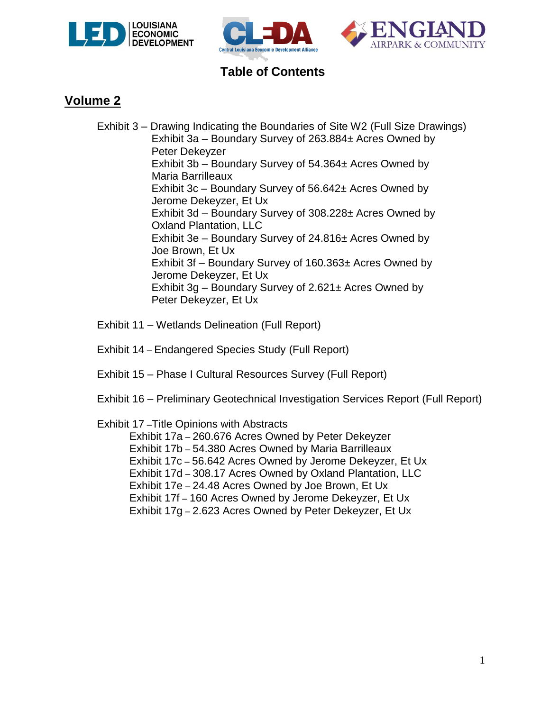





**Table of Contents**

## **Volume 2**

Exhibit 3 – Drawing Indicating the Boundaries of Site W2 (Full Size Drawings) Exhibit 3a – Boundary Survey of 263.884± Acres Owned by Peter Dekeyzer Exhibit 3b – Boundary Survey of 54.364± Acres Owned by Maria Barrilleaux Exhibit 3c – Boundary Survey of 56.642± Acres Owned by Jerome Dekeyzer, Et Ux Exhibit 3d – Boundary Survey of 308.228± Acres Owned by Oxland Plantation, LLC Exhibit 3e – Boundary Survey of 24.816± Acres Owned by Joe Brown, Et Ux Exhibit 3f – Boundary Survey of 160.363± Acres Owned by Jerome Dekeyzer, Et Ux Exhibit  $3g$  – Boundary Survey of 2.621 $\pm$  Acres Owned by Peter Dekeyzer, Et Ux

- Exhibit 11 Wetlands Delineation (Full Report)
- Exhibit 14 Endangered Species Study (Full Report)
- Exhibit 15 Phase I Cultural Resources Survey (Full Report)
- Exhibit 16 Preliminary Geotechnical Investigation Services Report (Full Report)

Exhibit 17 –Title Opinions with Abstracts Exhibit 17a – 260.676 Acres Owned by Peter Dekeyzer Exhibit 17b – 54.380 Acres Owned by Maria Barrilleaux Exhibit 17c – 56.642 Acres Owned by Jerome Dekeyzer, Et Ux Exhibit 17d – 308.17 Acres Owned by Oxland Plantation, LLC Exhibit 17e – 24.48 Acres Owned by Joe Brown, Et Ux Exhibit 17f – 160 Acres Owned by Jerome Dekeyzer, Et Ux Exhibit 17g – 2.623 Acres Owned by Peter Dekeyzer, Et Ux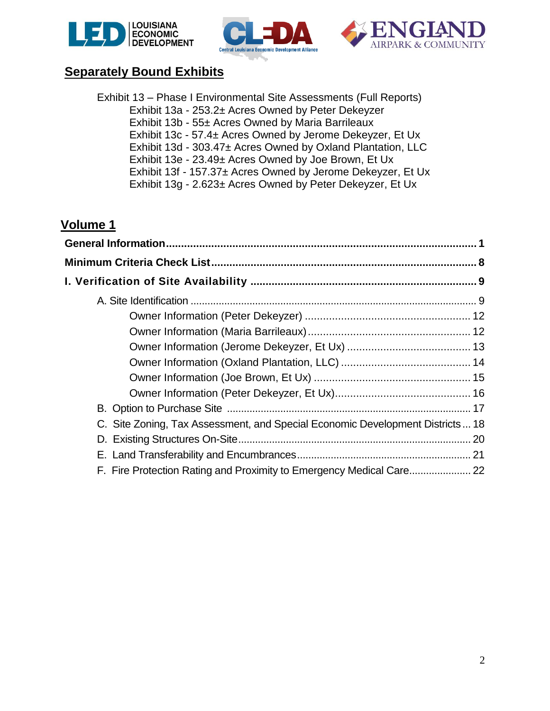





## **Separately Bound Exhibits**

| Exhibit 13 - Phase I Environmental Site Assessments (Full Reports) |
|--------------------------------------------------------------------|
| Exhibit 13a - 253.2± Acres Owned by Peter Dekeyzer                 |
| Exhibit 13b - 55± Acres Owned by Maria Barrileaux                  |
| Exhibit 13c - 57.4± Acres Owned by Jerome Dekeyzer, Et Ux          |
| Exhibit 13d - 303.47± Acres Owned by Oxland Plantation, LLC        |
| Exhibit 13e - 23.49± Acres Owned by Joe Brown, Et Ux               |
| Exhibit 13f - 157.37± Acres Owned by Jerome Dekeyzer, Et Ux        |
| Exhibit 13g - 2.623± Acres Owned by Peter Dekeyzer, Et Ux          |

## **Volume 1**

| C. Site Zoning, Tax Assessment, and Special Economic Development Districts  18 |  |  |  |
|--------------------------------------------------------------------------------|--|--|--|
|                                                                                |  |  |  |
|                                                                                |  |  |  |
| F. Fire Protection Rating and Proximity to Emergency Medical Care 22           |  |  |  |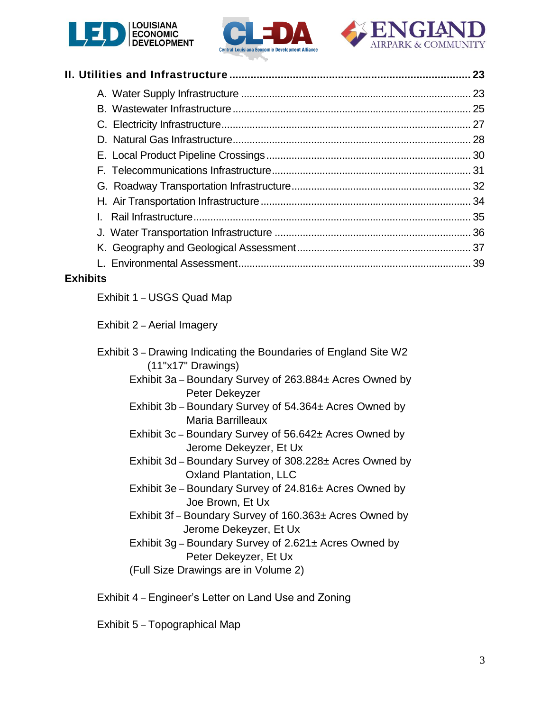





|  |  | 23 |  |
|--|--|----|--|
|  |  |    |  |
|  |  |    |  |
|  |  |    |  |
|  |  |    |  |
|  |  |    |  |
|  |  |    |  |
|  |  |    |  |
|  |  |    |  |
|  |  |    |  |
|  |  |    |  |
|  |  |    |  |
|  |  |    |  |
|  |  |    |  |

## **Exhibits**

Exhibit 2 – Aerial Imagery

| Exhibit 3 – Drawing Indicating the Boundaries of England Site W2 |                      |  |  |
|------------------------------------------------------------------|----------------------|--|--|
|                                                                  | $(11"x17"$ Drawings) |  |  |

- Exhibit 3a Boundary Survey of 263.884± Acres Owned by Peter Dekeyzer
- Exhibit 3b Boundary Survey of 54.364± Acres Owned by Maria Barrilleaux
- Exhibit 3c Boundary Survey of 56.642± Acres Owned by Jerome Dekeyzer, Et Ux
- Exhibit 3d Boundary Survey of 308.228± Acres Owned by Oxland Plantation, LLC
- Exhibit 3e Boundary Survey of 24.816± Acres Owned by Joe Brown, Et Ux
- Exhibit 3f Boundary Survey of 160.363± Acres Owned by Jerome Dekeyzer, Et Ux
- Exhibit 3g Boundary Survey of 2.621± Acres Owned by Peter Dekeyzer, Et Ux
- (Full Size Drawings are in Volume 2)
- Exhibit 4 Engineer's Letter on Land Use and Zoning

Exhibit 5 – Topographical Map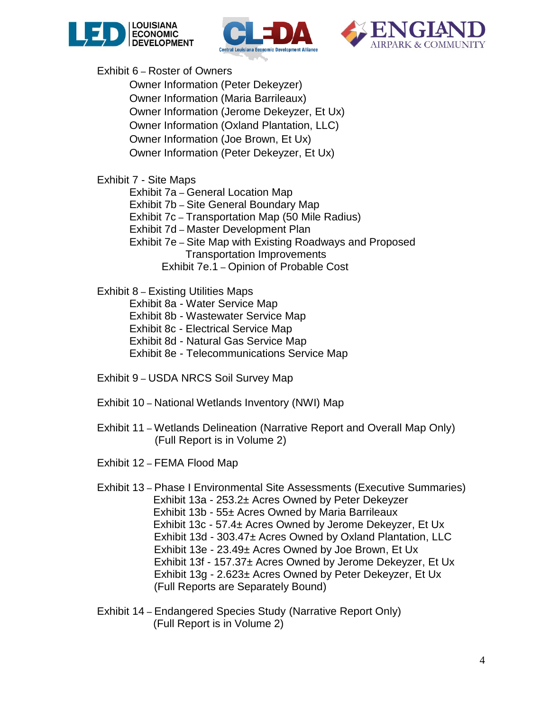





Exhibit 6 – Roster of Owners

Owner Information (Peter Dekeyzer) Owner Information (Maria Barrileaux) Owner Information (Jerome Dekeyzer, Et Ux) Owner Information (Oxland Plantation, LLC) Owner Information (Joe Brown, Et Ux) Owner Information (Peter Dekeyzer, Et Ux)

Exhibit 7 - Site Maps

Exhibit 7a – General Location Map

Exhibit 7b – Site General Boundary Map

Exhibit 7c – Transportation Map (50 Mile Radius)

Exhibit 7d – Master Development Plan

Exhibit 7e – Site Map with Existing Roadways and Proposed Transportation Improvements

Exhibit 7e.1 – Opinion of Probable Cost

Exhibit 8 – Existing Utilities Maps

Exhibit 8a - Water Service Map

Exhibit 8b - Wastewater Service Map

Exhibit 8c - Electrical Service Map

Exhibit 8d - Natural Gas Service Map

Exhibit 8e - Telecommunications Service Map

- Exhibit 9 USDA NRCS Soil Survey Map
- Exhibit 10 National Wetlands Inventory (NWI) Map
- Exhibit 11 Wetlands Delineation (Narrative Report and Overall Map Only) (Full Report is in Volume 2)
- Exhibit 12 FEMA Flood Map
- Exhibit 13 Phase I Environmental Site Assessments (Executive Summaries) Exhibit 13a - 253.2± Acres Owned by Peter Dekeyzer Exhibit 13b - 55± Acres Owned by Maria Barrileaux Exhibit 13c - 57.4± Acres Owned by Jerome Dekeyzer, Et Ux Exhibit 13d - 303.47± Acres Owned by Oxland Plantation, LLC Exhibit 13e - 23.49± Acres Owned by Joe Brown, Et Ux Exhibit 13f - 157.37± Acres Owned by Jerome Dekeyzer, Et Ux Exhibit 13g - 2.623± Acres Owned by Peter Dekeyzer, Et Ux (Full Reports are Separately Bound)
- Exhibit 14 Endangered Species Study (Narrative Report Only) (Full Report is in Volume 2)